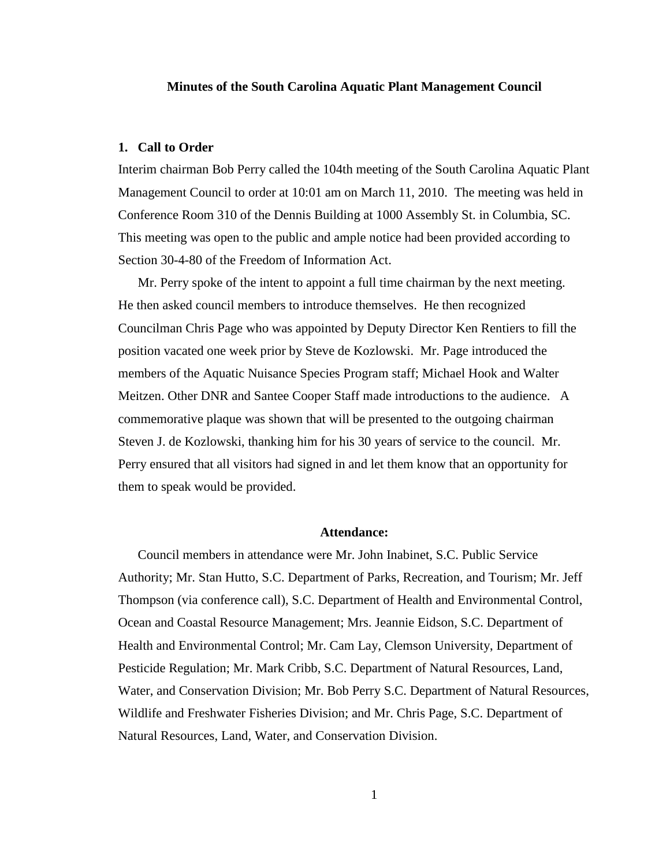#### **Minutes of the South Carolina Aquatic Plant Management Council**

### **1. Call to Order**

Interim chairman Bob Perry called the 104th meeting of the South Carolina Aquatic Plant Management Council to order at 10:01 am on March 11, 2010. The meeting was held in Conference Room 310 of the Dennis Building at 1000 Assembly St. in Columbia, SC. This meeting was open to the public and ample notice had been provided according to Section 30-4-80 of the Freedom of Information Act.

Mr. Perry spoke of the intent to appoint a full time chairman by the next meeting. He then asked council members to introduce themselves. He then recognized Councilman Chris Page who was appointed by Deputy Director Ken Rentiers to fill the position vacated one week prior by Steve de Kozlowski. Mr. Page introduced the members of the Aquatic Nuisance Species Program staff; Michael Hook and Walter Meitzen. Other DNR and Santee Cooper Staff made introductions to the audience. A commemorative plaque was shown that will be presented to the outgoing chairman Steven J. de Kozlowski, thanking him for his 30 years of service to the council. Mr. Perry ensured that all visitors had signed in and let them know that an opportunity for them to speak would be provided.

#### **Attendance:**

Council members in attendance were Mr. John Inabinet, S.C. Public Service Authority; Mr. Stan Hutto, S.C. Department of Parks, Recreation, and Tourism; Mr. Jeff Thompson (via conference call), S.C. Department of Health and Environmental Control, Ocean and Coastal Resource Management; Mrs. Jeannie Eidson, S.C. Department of Health and Environmental Control; Mr. Cam Lay, Clemson University, Department of Pesticide Regulation; Mr. Mark Cribb, S.C. Department of Natural Resources, Land, Water, and Conservation Division; Mr. Bob Perry S.C. Department of Natural Resources, Wildlife and Freshwater Fisheries Division; and Mr. Chris Page, S.C. Department of Natural Resources, Land, Water, and Conservation Division.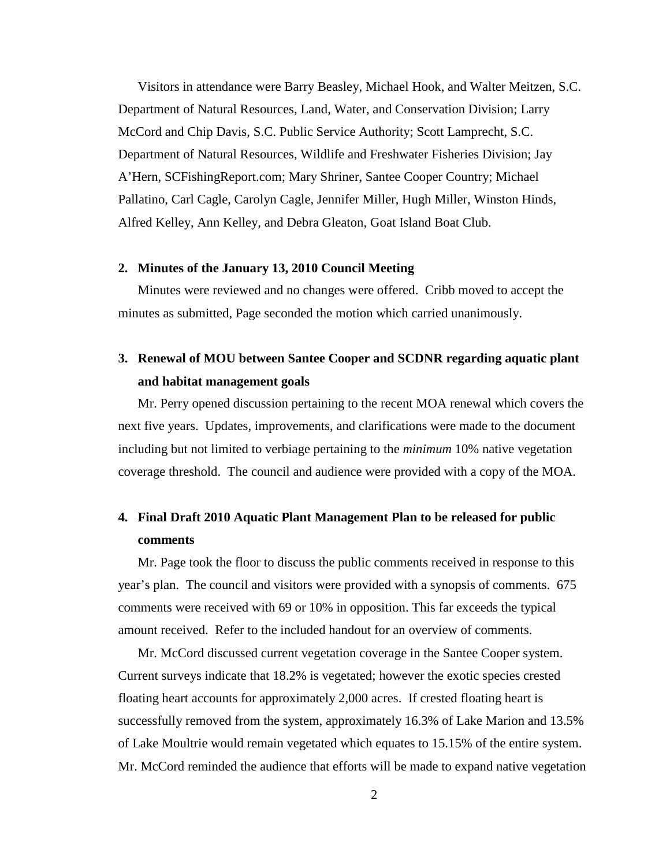Visitors in attendance were Barry Beasley, Michael Hook, and Walter Meitzen, S.C. Department of Natural Resources, Land, Water, and Conservation Division; Larry McCord and Chip Davis, S.C. Public Service Authority; Scott Lamprecht, S.C. Department of Natural Resources, Wildlife and Freshwater Fisheries Division; Jay A'Hern, SCFishingReport.com; Mary Shriner, Santee Cooper Country; Michael Pallatino, Carl Cagle, Carolyn Cagle, Jennifer Miller, Hugh Miller, Winston Hinds, Alfred Kelley, Ann Kelley, and Debra Gleaton, Goat Island Boat Club.

## **2. Minutes of the January 13, 2010 Council Meeting**

Minutes were reviewed and no changes were offered. Cribb moved to accept the minutes as submitted, Page seconded the motion which carried unanimously.

# **3. Renewal of MOU between Santee Cooper and SCDNR regarding aquatic plant and habitat management goals**

Mr. Perry opened discussion pertaining to the recent MOA renewal which covers the next five years. Updates, improvements, and clarifications were made to the document including but not limited to verbiage pertaining to the *minimum* 10% native vegetation coverage threshold. The council and audience were provided with a copy of the MOA.

# **4. Final Draft 2010 Aquatic Plant Management Plan to be released for public comments**

Mr. Page took the floor to discuss the public comments received in response to this year's plan. The council and visitors were provided with a synopsis of comments. 675 comments were received with 69 or 10% in opposition. This far exceeds the typical amount received. Refer to the included handout for an overview of comments.

Mr. McCord discussed current vegetation coverage in the Santee Cooper system. Current surveys indicate that 18.2% is vegetated; however the exotic species crested floating heart accounts for approximately 2,000 acres. If crested floating heart is successfully removed from the system, approximately 16.3% of Lake Marion and 13.5% of Lake Moultrie would remain vegetated which equates to 15.15% of the entire system. Mr. McCord reminded the audience that efforts will be made to expand native vegetation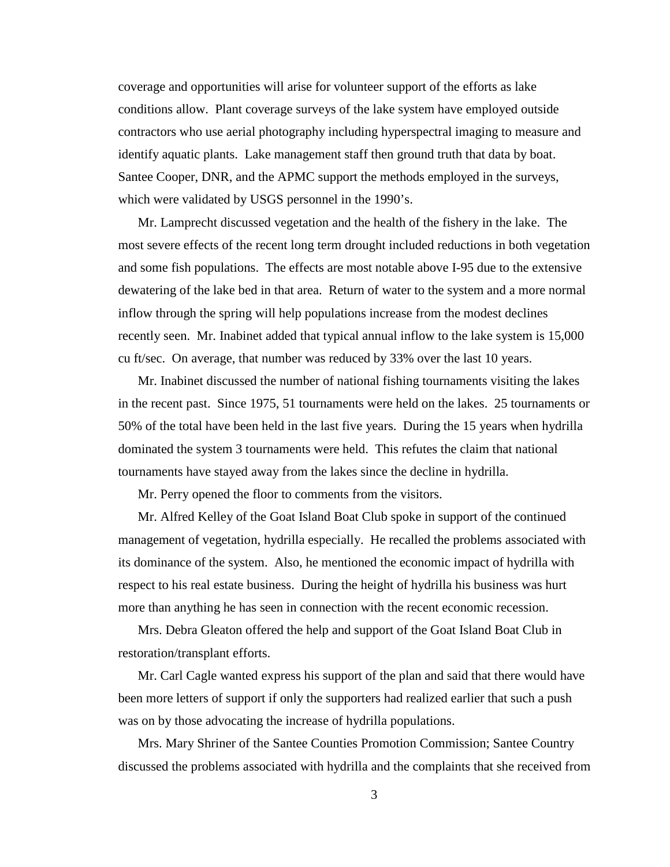coverage and opportunities will arise for volunteer support of the efforts as lake conditions allow. Plant coverage surveys of the lake system have employed outside contractors who use aerial photography including hyperspectral imaging to measure and identify aquatic plants. Lake management staff then ground truth that data by boat. Santee Cooper, DNR, and the APMC support the methods employed in the surveys, which were validated by USGS personnel in the 1990's.

Mr. Lamprecht discussed vegetation and the health of the fishery in the lake. The most severe effects of the recent long term drought included reductions in both vegetation and some fish populations. The effects are most notable above I-95 due to the extensive dewatering of the lake bed in that area. Return of water to the system and a more normal inflow through the spring will help populations increase from the modest declines recently seen. Mr. Inabinet added that typical annual inflow to the lake system is 15,000 cu ft/sec. On average, that number was reduced by 33% over the last 10 years.

Mr. Inabinet discussed the number of national fishing tournaments visiting the lakes in the recent past. Since 1975, 51 tournaments were held on the lakes. 25 tournaments or 50% of the total have been held in the last five years. During the 15 years when hydrilla dominated the system 3 tournaments were held. This refutes the claim that national tournaments have stayed away from the lakes since the decline in hydrilla.

Mr. Perry opened the floor to comments from the visitors.

Mr. Alfred Kelley of the Goat Island Boat Club spoke in support of the continued management of vegetation, hydrilla especially. He recalled the problems associated with its dominance of the system. Also, he mentioned the economic impact of hydrilla with respect to his real estate business. During the height of hydrilla his business was hurt more than anything he has seen in connection with the recent economic recession.

Mrs. Debra Gleaton offered the help and support of the Goat Island Boat Club in restoration/transplant efforts.

Mr. Carl Cagle wanted express his support of the plan and said that there would have been more letters of support if only the supporters had realized earlier that such a push was on by those advocating the increase of hydrilla populations.

Mrs. Mary Shriner of the Santee Counties Promotion Commission; Santee Country discussed the problems associated with hydrilla and the complaints that she received from